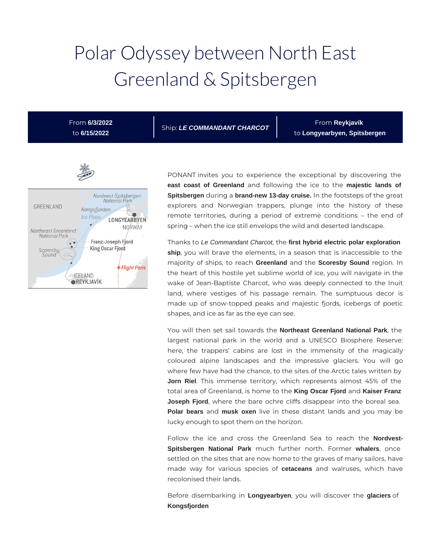# Polar Odyssey between North East Greenland & Spitsbergen

From **6/3/2022** to **6/15/2022**

Ship: **LE COMMANDANT CHARCOT**

From **Reykjavík**  to **Longyearbyen, Spitsbergen**



PONANT invites you to experience the exceptional by discovering the **east coast of Greenland** and following the ice to the **majestic lands of Spitsbergen** during a **brand-new 13-day cruise.** In the footsteps of the great explorers and Norwegian trappers, plunge into the history of these remote territories, during a period of extreme conditions – the end of spring – when the ice still envelops the wild and deserted landscape.

Thanks to Le Commandant Charcot, the **first hybrid electric polar exploration ship**, you will brave the elements, in a season that is inaccessible to the majority of ships, to reach **Greenland** and the **Scoresby Sound** region. In the heart of this hostile yet sublime world of ice, you will navigate in the wake of Jean-Baptiste Charcot, who was deeply connected to the Inuit land, where vestiges of his passage remain. The sumptuous decor is made up of snow-topped peaks and majestic fjords, icebergs of poetic shapes, and ice as far as the eye can see.

You will then set sail towards the **Northeast Greenland National Park**, the largest national park in the world and a UNESCO Biosphere Reserve: here, the trappers' cabins are lost in the immensity of the magically coloured alpine landscapes and the impressive glaciers. You will go where few have had the chance, to the sites of the Arctic tales written by **Jorn Riel**. This immense territory, which represents almost 45% of the total area of Greenland, is home to the **King Oscar Fjord** and **Kaiser Franz Joseph Fjord**, where the bare ochre cliffs disappear into the boreal sea. **Polar bears** and **musk oxen** live in these distant lands and you may be lucky enough to spot them on the horizon.

Follow the ice and cross the Greenland Sea to reach the **Nordvest-Spitsbergen National Park** much further north. Former **whalers**, once settled on the sites that are now home to the graves of many sailors, have made way for various species of **cetaceans** and walruses, which have recolonised their lands.

Before disembarking in **Longyearbyen**, you will discover the **glaciers** of **Kongsfjorden**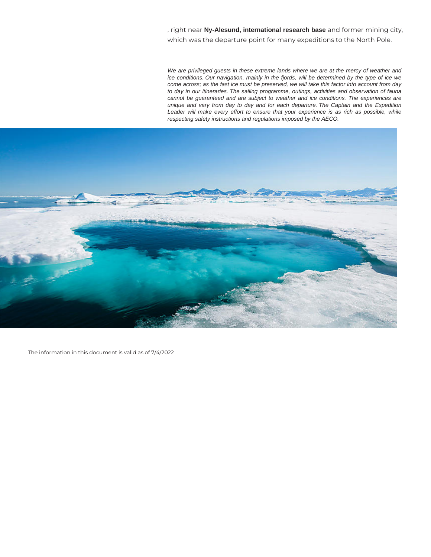, right near **Ny-Alesund, international research base** and former mining city, which was the departure point for many expeditions to the North Pole.

We are privileged guests in these extreme lands where we are at the mercy of weather and ice conditions. Our navigation, mainly in the fjords, will be determined by the type of ice we come across; as the fast ice must be preserved, we will take this factor into account from day to day in our itineraries. The sailing programme, outings, activities and observation of fauna cannot be guaranteed and are subject to weather and ice conditions. The experiences are unique and vary from day to day and for each departure. The Captain and the Expedition Leader will make every effort to ensure that your experience is as rich as possible, while respecting safety instructions and regulations imposed by the AECO.



The information in this document is valid as of 7/4/2022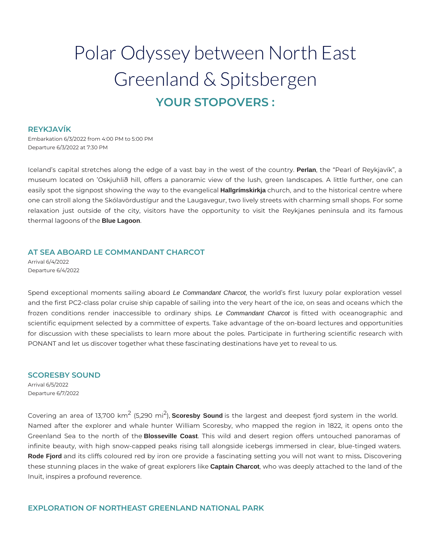## Polar Odyssey between North East Greenland & Spitsbergen **YOUR STOPOVERS :**

#### **REYKJAVÍK**

Embarkation 6/3/2022 from 4:00 PM to 5:00 PM Departure 6/3/2022 at 7:30 PM

Iceland's capital stretches along the edge of a vast bay in the west of the country. **Perlan**, the "Pearl of Reykjavík", a museum located on 'Oskjuhlið hill, offers a panoramic view of the lush, green landscapes. A little further, one can easily spot the signpost showing the way to the evangelical **Hallgrímskirkja** church, and to the historical centre where one can stroll along the Skólavördustígur and the Laugavegur, two lively streets with charming small shops. For some relaxation just outside of the city, visitors have the opportunity to visit the Reykjanes peninsula and its famous thermal lagoons of the **Blue Lagoon**.

#### **AT SEA ABOARD LE COMMANDANT CHARCOT**

Arrival 6/4/2022 Departure 6/4/2022

Spend exceptional moments sailing aboard Le Commandant Charcot, the world's first luxury polar exploration vessel and the first PC2-class polar cruise ship capable of sailing into the very heart of the ice, on seas and oceans which the frozen conditions render inaccessible to ordinary ships. Le Commandant Charcot is fitted with oceanographic and scientific equipment selected by a committee of experts. Take advantage of the on-board lectures and opportunities for discussion with these specialists to learn more about the poles. Participate in furthering scientific research with PONANT and let us discover together what these fascinating destinations have yet to reveal to us.

### **SCORESBY SOUND**

Arrival 6/5/2022 Departure 6/7/2022

Covering an area of 13,700 km<sup>2</sup> (5,290 mi<sup>2</sup>), **Scoresby Sound** is the largest and deepest fjord system in the world. Named after the explorer and whale hunter William Scoresby, who mapped the region in 1822, it opens onto the Greenland Sea to the north of the **Blosseville Coast**. This wild and desert region offers untouched panoramas of infinite beauty, with high snow-capped peaks rising tall alongside icebergs immersed in clear, blue-tinged waters. **Rode Fjord** and its cliffs coloured red by iron ore provide a fascinating setting you will not want to miss**.** Discovering these stunning places in the wake of great explorers like **Captain Charcot**, who was deeply attached to the land of the Inuit, inspires a profound reverence.

#### **EXPLORATION OF NORTHEAST GREENLAND NATIONAL PARK**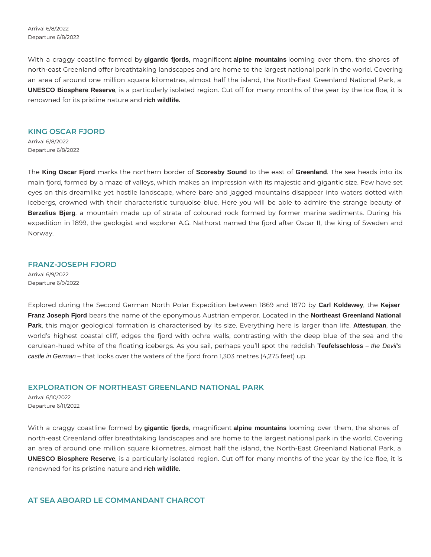Arrival 6/8/2022 Departure 6/8/2022

With a craggy coastline formed by **gigantic fjords**, magnificent **alpine mountains** looming over them, the shores of north-east Greenland offer breathtaking landscapes and are home to the largest national park in the world. Covering an area of around one million square kilometres, almost half the island, the North-East Greenland National Park, a **UNESCO Biosphere Reserve**, is a particularly isolated region. Cut off for many months of the year by the ice floe, it is renowned for its pristine nature and **rich wildlife.**

#### **KING OSCAR FJORD**

Arrival 6/8/2022 Departure 6/8/2022

The **King Oscar Fjord** marks the northern border of **Scoresby Sound** to the east of **Greenland**. The sea heads into its main fjord, formed by a maze of valleys, which makes an impression with its majestic and gigantic size. Few have set eyes on this dreamlike yet hostile landscape, where bare and jagged mountains disappear into waters dotted with icebergs, crowned with their characteristic turquoise blue. Here you will be able to admire the strange beauty of **Berzelius Bjerg**, a mountain made up of strata of coloured rock formed by former marine sediments. During his expedition in 1899, the geologist and explorer A.G. Nathorst named the fjord after Oscar II, the king of Sweden and Norway.

#### **FRANZ-JOSEPH FJORD**

Arrival 6/9/2022 Departure 6/9/2022

Explored during the Second German North Polar Expedition between 1869 and 1870 by **Carl Koldewey**, the **Kejser Franz Joseph Fjord** bears the name of the eponymous Austrian emperor. Located in the **Northeast Greenland National Park**, this major geological formation is characterised by its size. Everything here is larger than life. **Attestupan**, the world's highest coastal cliff, edges the fjord with ochre walls, contrasting with the deep blue of the sea and the cerulean-hued white of the floating icebergs. As you sail, perhaps you'll spot the reddish **Teufelsschloss** – the Devil's castle in German – that looks over the waters of the fjord from 1,303 metres (4,275 feet) up.

#### **EXPLORATION OF NORTHEAST GREENLAND NATIONAL PARK**

Arrival 6/10/2022 Departure 6/11/2022

With a craggy coastline formed by **gigantic fjords**, magnificent **alpine mountains** looming over them, the shores of north-east Greenland offer breathtaking landscapes and are home to the largest national park in the world. Covering an area of around one million square kilometres, almost half the island, the North-East Greenland National Park, a **UNESCO Biosphere Reserve**, is a particularly isolated region. Cut off for many months of the year by the ice floe, it is renowned for its pristine nature and **rich wildlife.**

#### **AT SEA ABOARD LE COMMANDANT CHARCOT**